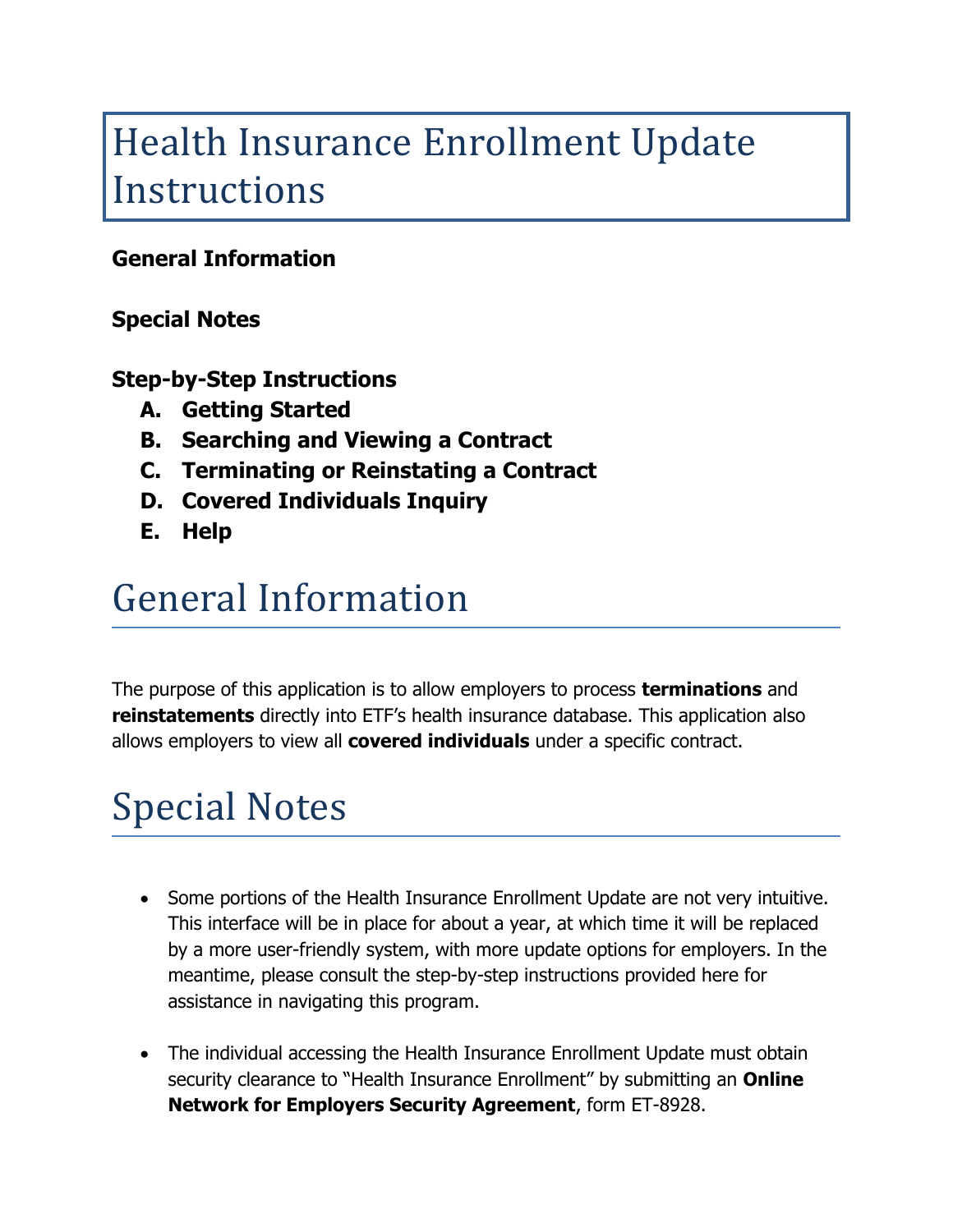# Health Insurance Enrollment Update Instructions

#### **General Information**

#### **Special Notes**

#### **Step-by-Step Instructions**

- **A. Getting Started**
- **B. Searching and Viewing a Contract**
- **C. Terminating or Reinstating a Contract**
- **D. Covered Individuals Inquiry**
- **E. Help**

### General Information

The purpose of this application is to allow employers to process **terminations** and **reinstatements** directly into ETF's health insurance database. This application also allows employers to view all **covered individuals** under a specific contract.

# Special Notes

- Some portions of the Health Insurance Enrollment Update are not very intuitive. This interface will be in place for about a year, at which time it will be replaced by a more user-friendly system, with more update options for employers. In the meantime, please consult the step-by-step instructions provided here for assistance in navigating this program.
- The individual accessing the Health Insurance Enrollment Update must obtain security clearance to "Health Insurance Enrollment" by submitting an **Online Network for Employers Security Agreement**, form ET-8928.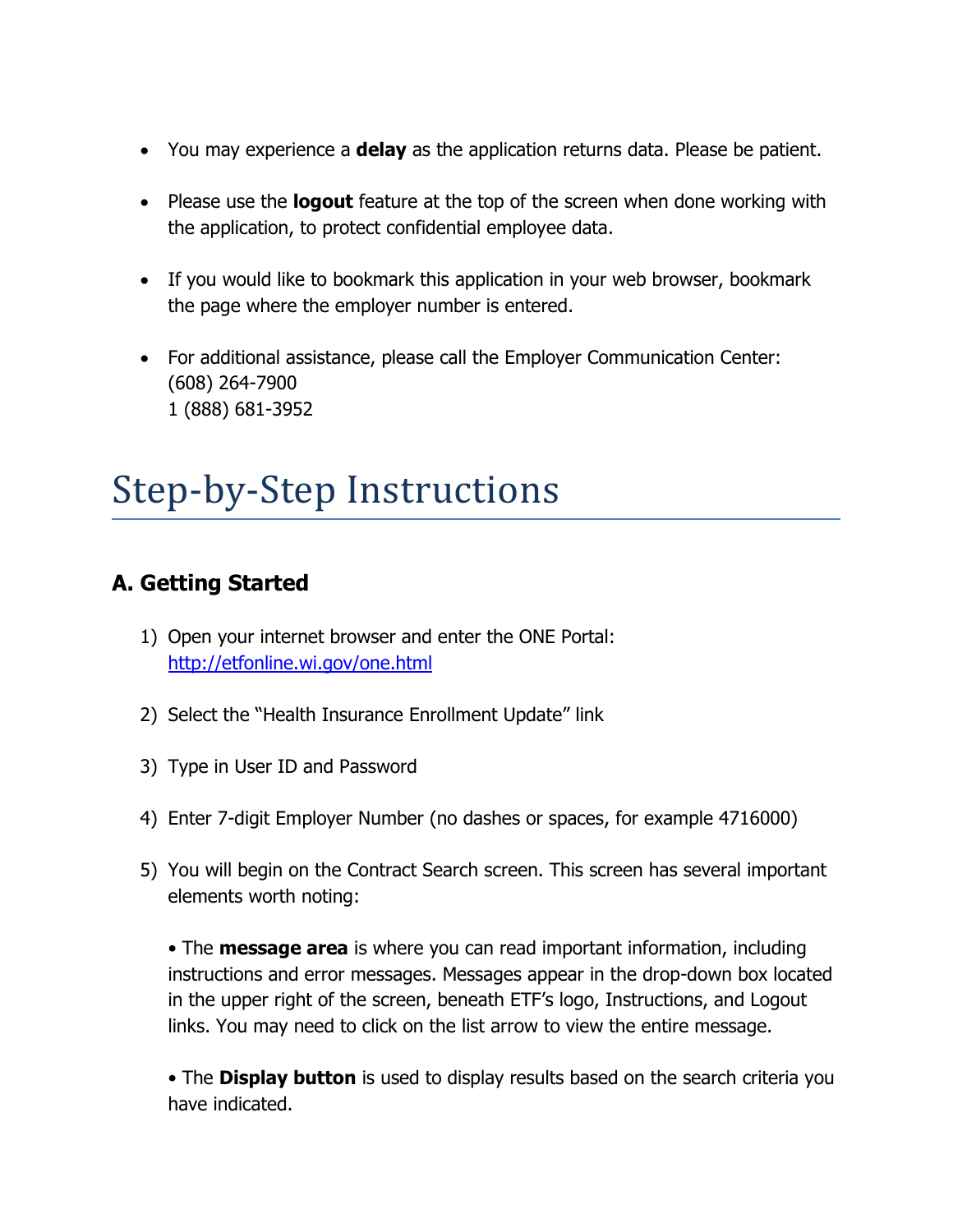- You may experience a **delay** as the application returns data. Please be patient.
- Please use the **logout** feature at the top of the screen when done working with the application, to protect confidential employee data.
- If you would like to bookmark this application in your web browser, bookmark the page where the employer number is entered.
- For additional assistance, please call the Employer Communication Center: (608) 264-7900 1 (888) 681-3952

# Step-by-Step Instructions

#### **A. Getting Started**

- 1) Open your internet browser and enter the ONE Portal: <http://etfonline.wi.gov/one.html>
- 2) Select the "Health Insurance Enrollment Update" link
- 3) Type in User ID and Password
- 4) Enter 7-digit Employer Number (no dashes or spaces, for example 4716000)
- 5) You will begin on the Contract Search screen. This screen has several important elements worth noting:

• The **message area** is where you can read important information, including instructions and error messages. Messages appear in the drop-down box located in the upper right of the screen, beneath ETF's logo, Instructions, and Logout links. You may need to click on the list arrow to view the entire message.

• The **Display button** is used to display results based on the search criteria you have indicated.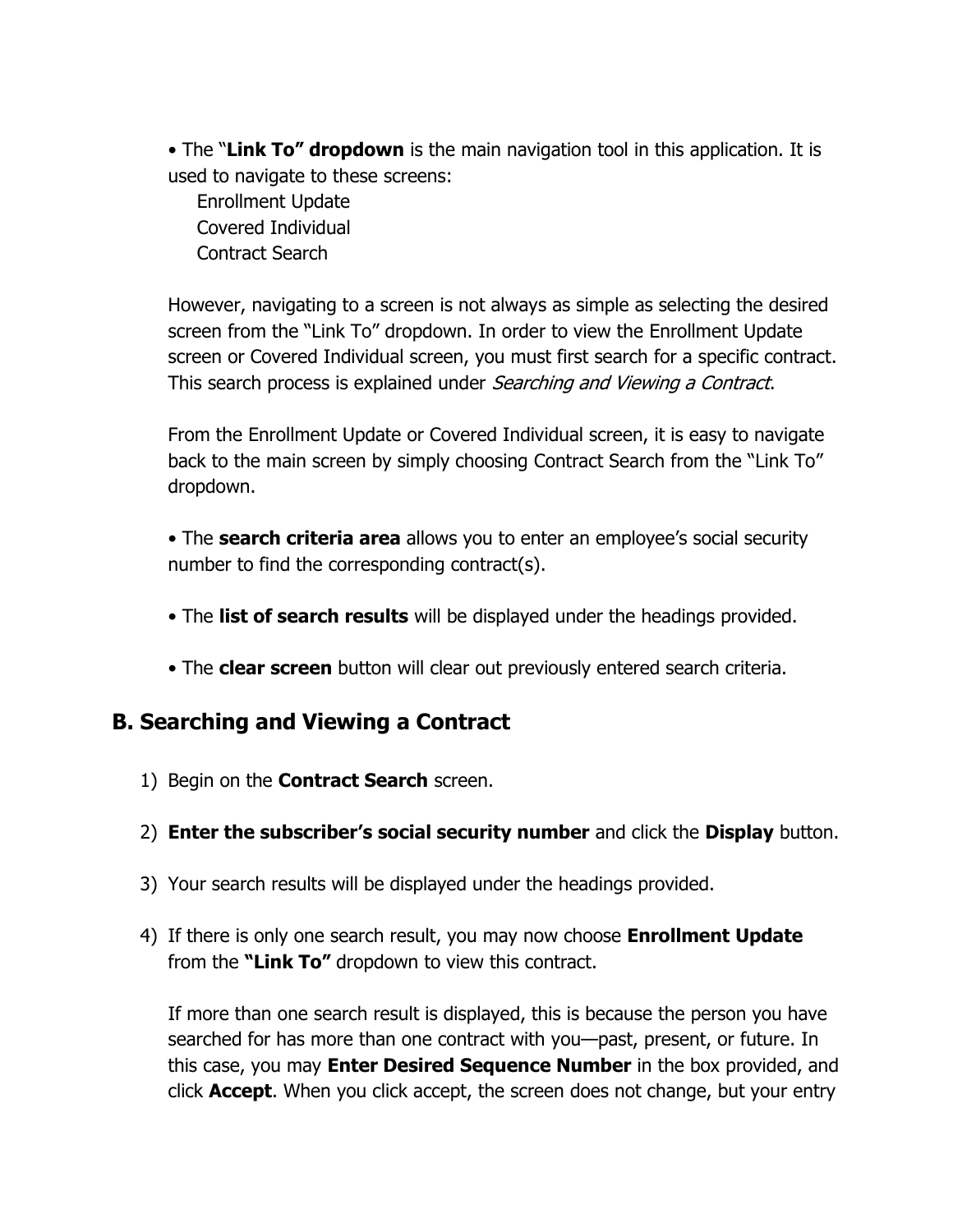• The "**Link To" dropdown** is the main navigation tool in this application. It is used to navigate to these screens:

 Enrollment Update Covered Individual Contract Search

However, navigating to a screen is not always as simple as selecting the desired screen from the "Link To" dropdown. In order to view the Enrollment Update screen or Covered Individual screen, you must first search for a specific contract. This search process is explained under *Searching and Viewing a Contract*.

From the Enrollment Update or Covered Individual screen, it is easy to navigate back to the main screen by simply choosing Contract Search from the "Link To" dropdown.

• The **search criteria area** allows you to enter an employee's social security number to find the corresponding contract(s).

- The **list of search results** will be displayed under the headings provided.
- The **clear screen** button will clear out previously entered search criteria.

#### **B. Searching and Viewing a Contract**

- 1) Begin on the **Contract Search** screen.
- 2) **Enter the subscriber's social security number** and click the **Display** button.
- 3) Your search results will be displayed under the headings provided.
- 4) If there is only one search result, you may now choose **Enrollment Update**  from the **"Link To"** dropdown to view this contract.

If more than one search result is displayed, this is because the person you have searched for has more than one contract with you—past, present, or future. In this case, you may **Enter Desired Sequence Number** in the box provided, and click **Accept**. When you click accept, the screen does not change, but your entry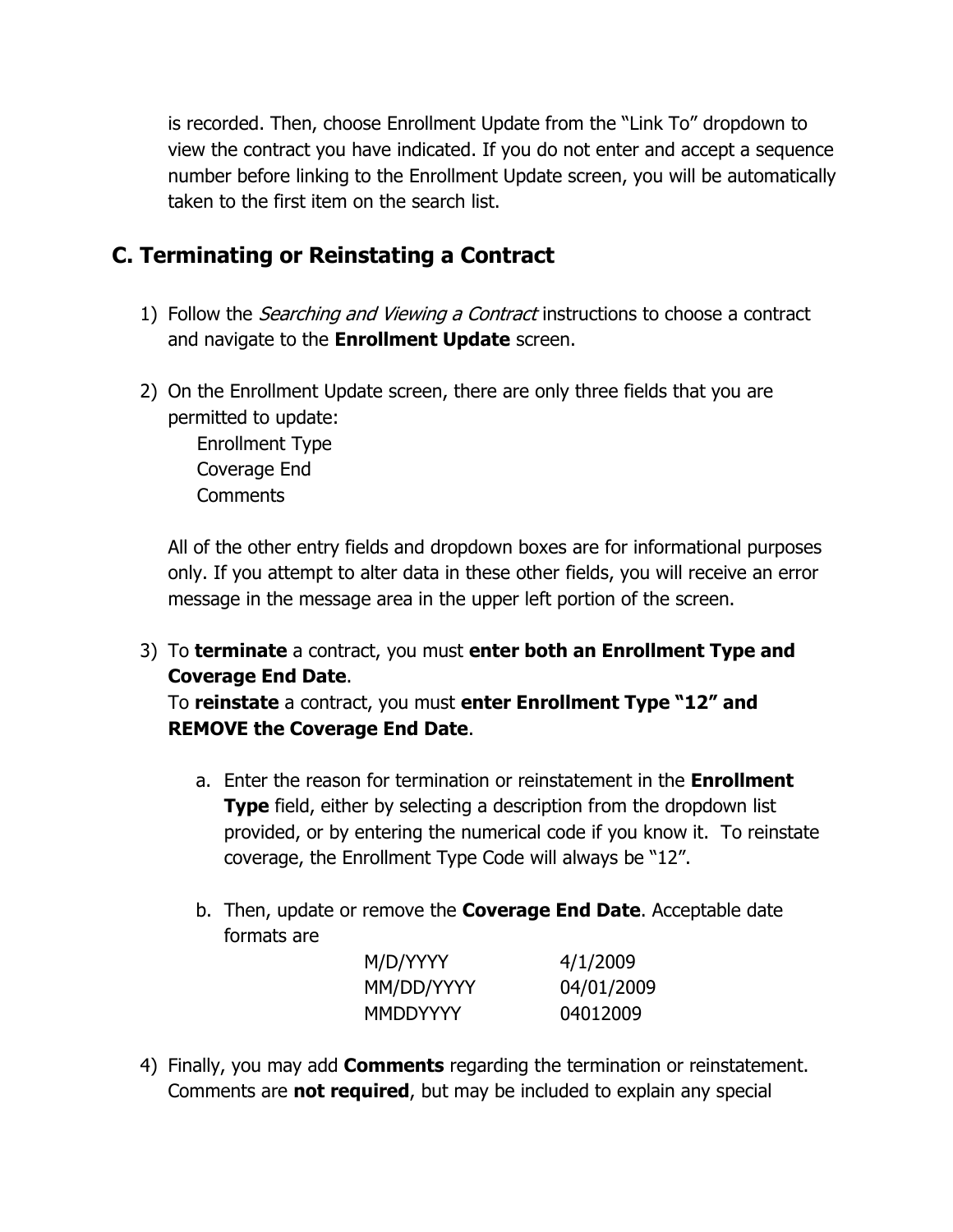is recorded. Then, choose Enrollment Update from the "Link To" dropdown to view the contract you have indicated. If you do not enter and accept a sequence number before linking to the Enrollment Update screen, you will be automatically taken to the first item on the search list.

#### **C. Terminating or Reinstating a Contract**

- 1) Follow the *Searching and Viewing a Contract* instructions to choose a contract and navigate to the **Enrollment Update** screen.
- 2) On the Enrollment Update screen, there are only three fields that you are permitted to update:

 Enrollment Type Coverage End **Comments** 

All of the other entry fields and dropdown boxes are for informational purposes only. If you attempt to alter data in these other fields, you will receive an error message in the message area in the upper left portion of the screen.

3) To **terminate** a contract, you must **enter both an Enrollment Type and Coverage End Date**.

To **reinstate** a contract, you must **enter Enrollment Type "12" and REMOVE the Coverage End Date**.

- a. Enter the reason for termination or reinstatement in the **Enrollment Type** field, either by selecting a description from the dropdown list provided, or by entering the numerical code if you know it. To reinstate coverage, the Enrollment Type Code will always be "12".
- b. Then, update or remove the **Coverage End Date**. Acceptable date formats are

| M/D/YYYY   | 4/1/2009   |
|------------|------------|
| MM/DD/YYYY | 04/01/2009 |
| MMDDYYYY   | 04012009   |

4) Finally, you may add **Comments** regarding the termination or reinstatement. Comments are **not required**, but may be included to explain any special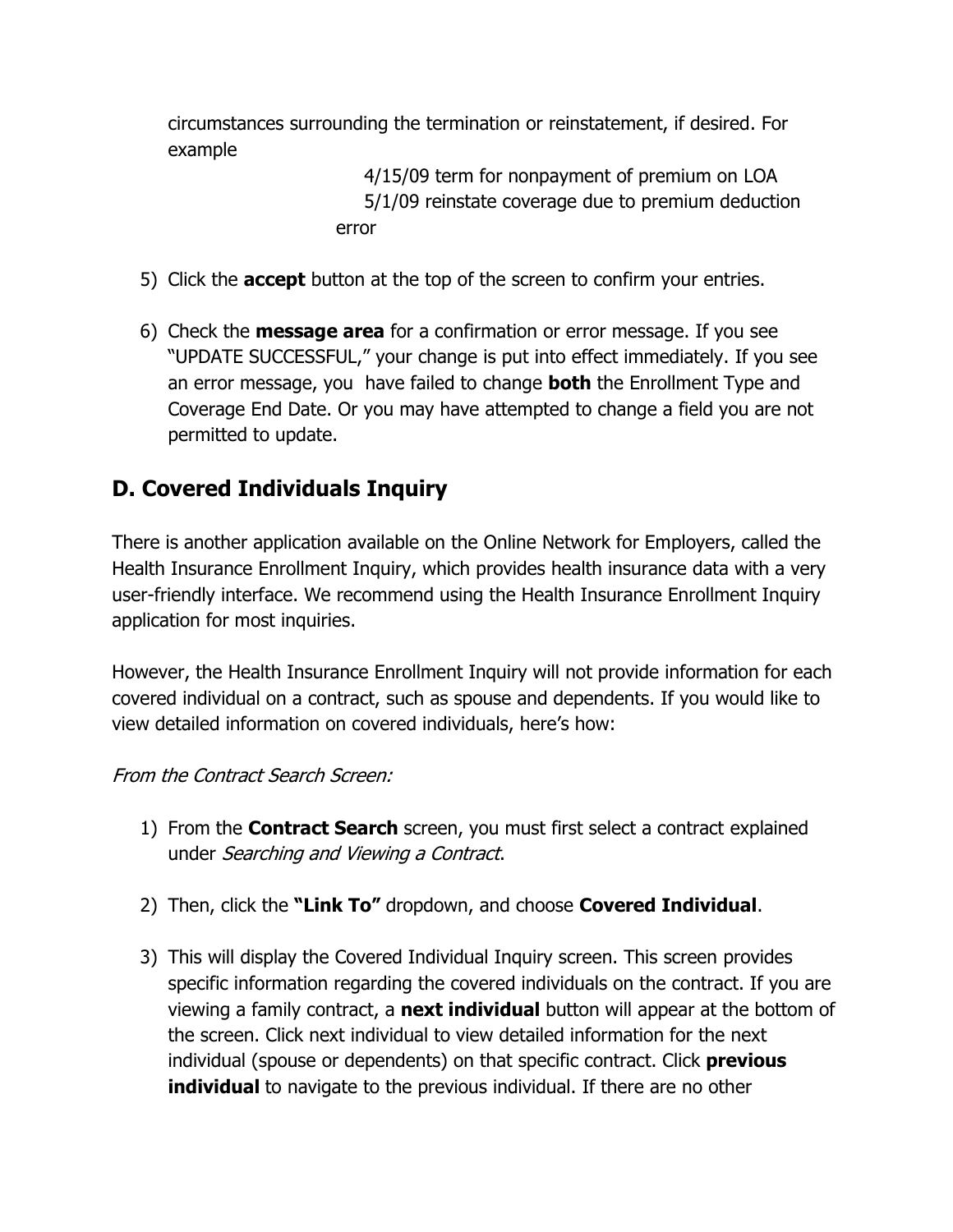circumstances surrounding the termination or reinstatement, if desired. For example

> 4/15/09 term for nonpayment of premium on LOA 5/1/09 reinstate coverage due to premium deduction error

- 5) Click the **accept** button at the top of the screen to confirm your entries.
- 6) Check the **message area** for a confirmation or error message. If you see "UPDATE SUCCESSFUL," your change is put into effect immediately. If you see an error message, you have failed to change **both** the Enrollment Type and Coverage End Date. Or you may have attempted to change a field you are not permitted to update.

### **D. Covered Individuals Inquiry**

There is another application available on the Online Network for Employers, called the Health Insurance Enrollment Inquiry, which provides health insurance data with a very user-friendly interface. We recommend using the Health Insurance Enrollment Inquiry application for most inquiries.

However, the Health Insurance Enrollment Inquiry will not provide information for each covered individual on a contract, such as spouse and dependents. If you would like to view detailed information on covered individuals, here's how:

#### From the Contract Search Screen:

- 1) From the **Contract Search** screen, you must first select a contract explained under Searching and Viewing a Contract.
- 2) Then, click the **"Link To"** dropdown, and choose **Covered Individual**.
- 3) This will display the Covered Individual Inquiry screen. This screen provides specific information regarding the covered individuals on the contract. If you are viewing a family contract, a **next individual** button will appear at the bottom of the screen. Click next individual to view detailed information for the next individual (spouse or dependents) on that specific contract. Click **previous individual** to navigate to the previous individual. If there are no other